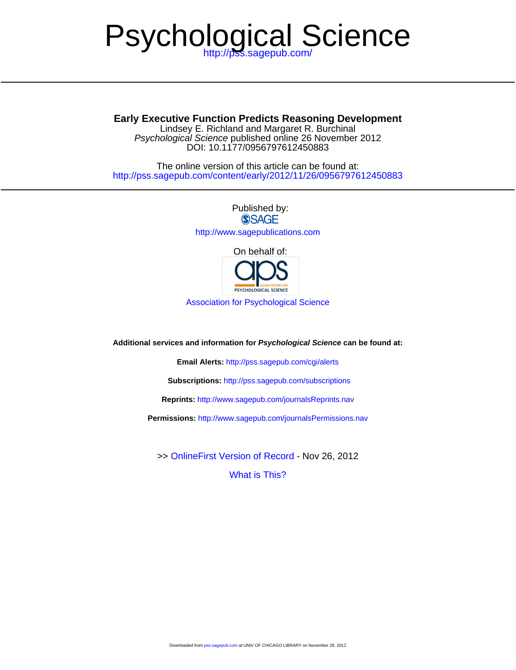# Psychological Science

Lindsey E. Richland and Margaret R. Burchinal **Early Executive Function Predicts Reasoning Development**

DOI: 10.1177/0956797612450883 Psychological Science published online 26 November 2012

<http://pss.sagepub.com/content/early/2012/11/26/0956797612450883> The online version of this article can be found at:

> Published by:<br>
> SAGE <http://www.sagepublications.com>

On behalf of: **PSYCHOLOGICAL SCIENCE** 

[Association for Psychological Science](http://www.psychologicalscience.org/)

**Additional services and information for Psychological Science can be found at:**

**Email Alerts:** <http://pss.sagepub.com/cgi/alerts>

**Subscriptions:** <http://pss.sagepub.com/subscriptions>

**Reprints:** <http://www.sagepub.com/journalsReprints.nav>

**Permissions:** <http://www.sagepub.com/journalsPermissions.nav>

>> [OnlineFirst Version of Record -](http://pss.sagepub.com/content/early/2012/11/26/0956797612450883.full.pdf) Nov 26, 2012

[What is This?](http://online.sagepub.com/site/sphelp/vorhelp.xhtml)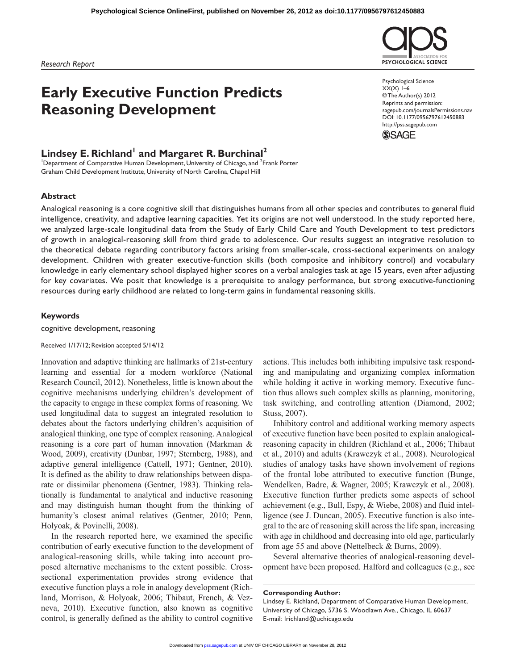*Research Report*

# **Early Executive Function Predicts Reasoning Development**

# Lindsey E. Richland<sup>1</sup> and Margaret R. Burchinal<sup>2</sup>

<sup>1</sup>Department of Comparative Human Development, University of Chicago, and <sup>2</sup>Frank Porter Graham Child Development Institute, University of North Carolina, Chapel Hill

# **Abstract**

Analogical reasoning is a core cognitive skill that distinguishes humans from all other species and contributes to general fluid intelligence, creativity, and adaptive learning capacities. Yet its origins are not well understood. In the study reported here, we analyzed large-scale longitudinal data from the Study of Early Child Care and Youth Development to test predictors of growth in analogical-reasoning skill from third grade to adolescence. Our results suggest an integrative resolution to the theoretical debate regarding contributory factors arising from smaller-scale, cross-sectional experiments on analogy development. Children with greater executive-function skills (both composite and inhibitory control) and vocabulary knowledge in early elementary school displayed higher scores on a verbal analogies task at age 15 years, even after adjusting for key covariates. We posit that knowledge is a prerequisite to analogy performance, but strong executive-functioning resources during early childhood are related to long-term gains in fundamental reasoning skills.

# **Keywords**

cognitive development, reasoning

Received 1/17/12; Revision accepted 5/14/12

Innovation and adaptive thinking are hallmarks of 21st-century learning and essential for a modern workforce (National Research Council, 2012). Nonetheless, little is known about the cognitive mechanisms underlying children's development of the capacity to engage in these complex forms of reasoning. We used longitudinal data to suggest an integrated resolution to debates about the factors underlying children's acquisition of analogical thinking, one type of complex reasoning. Analogical reasoning is a core part of human innovation (Markman & Wood, 2009), creativity (Dunbar, 1997; Sternberg, 1988), and adaptive general intelligence (Cattell, 1971; Gentner, 2010). It is defined as the ability to draw relationships between disparate or dissimilar phenomena (Gentner, 1983). Thinking relationally is fundamental to analytical and inductive reasoning and may distinguish human thought from the thinking of humanity's closest animal relatives (Gentner, 2010; Penn, Holyoak, & Povinelli, 2008).

In the research reported here, we examined the specific contribution of early executive function to the development of analogical-reasoning skills, while taking into account proposed alternative mechanisms to the extent possible. Crosssectional experimentation provides strong evidence that executive function plays a role in analogy development (Richland, Morrison, & Holyoak, 2006; Thibaut, French, & Vezneva, 2010). Executive function, also known as cognitive control, is generally defined as the ability to control cognitive

actions. This includes both inhibiting impulsive task responding and manipulating and organizing complex information while holding it active in working memory. Executive function thus allows such complex skills as planning, monitoring, task switching, and controlling attention (Diamond, 2002; Stuss, 2007).

Inhibitory control and additional working memory aspects of executive function have been posited to explain analogicalreasoning capacity in children (Richland et al., 2006; Thibaut et al., 2010) and adults (Krawczyk et al., 2008). Neurological studies of analogy tasks have shown involvement of regions of the frontal lobe attributed to executive function (Bunge, Wendelken, Badre, & Wagner, 2005; Krawczyk et al., 2008). Executive function further predicts some aspects of school achievement (e.g., Bull, Espy, & Wiebe, 2008) and fluid intelligence (see J. Duncan, 2005). Executive function is also integral to the arc of reasoning skill across the life span, increasing with age in childhood and decreasing into old age, particularly from age 55 and above (Nettelbeck & Burns, 2009).

Several alternative theories of analogical-reasoning development have been proposed. Halford and colleagues (e.g., see

#### **Corresponding Author:**

Lindsey E. Richland, Department of Comparative Human Development, University of Chicago, 5736 S. Woodlawn Ave., Chicago, IL 60637 E-mail: lrichland@uchicago.edu



Psychological Science  $XX(X)$  1–6 © The Author(s) 2012 Reprints and permission: sagepub.com/journalsPermissions.nav DOI: 10.1177/0956797612450883 http://pss.sagepub.com

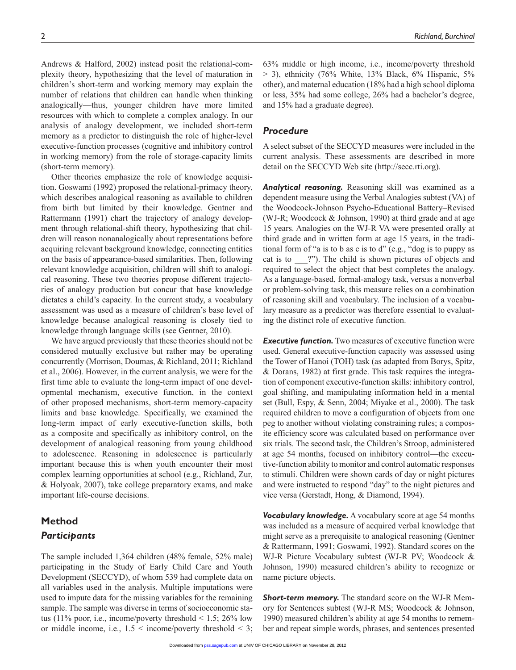resources with which to complete a complex analogy. In our analysis of analogy development, we included short-term memory as a predictor to distinguish the role of higher-level executive-function processes (cognitive and inhibitory control in working memory) from the role of storage-capacity limits (short-term memory).

Other theories emphasize the role of knowledge acquisition. Goswami (1992) proposed the relational-primacy theory, which describes analogical reasoning as available to children from birth but limited by their knowledge. Gentner and Rattermann (1991) chart the trajectory of analogy development through relational-shift theory, hypothesizing that children will reason nonanalogically about representations before acquiring relevant background knowledge, connecting entities on the basis of appearance-based similarities. Then, following relevant knowledge acquisition, children will shift to analogical reasoning. These two theories propose different trajectories of analogy production but concur that base knowledge dictates a child's capacity. In the current study, a vocabulary assessment was used as a measure of children's base level of knowledge because analogical reasoning is closely tied to knowledge through language skills (see Gentner, 2010).

We have argued previously that these theories should not be considered mutually exclusive but rather may be operating concurrently (Morrison, Doumas, & Richland, 2011; Richland et al., 2006). However, in the current analysis, we were for the first time able to evaluate the long-term impact of one developmental mechanism, executive function, in the context of other proposed mechanisms, short-term memory-capacity limits and base knowledge. Specifically, we examined the long-term impact of early executive-function skills, both as a composite and specifically as inhibitory control, on the development of analogical reasoning from young childhood to adolescence. Reasoning in adolescence is particularly important because this is when youth encounter their most complex learning opportunities at school (e.g., Richland, Zur, & Holyoak, 2007), take college preparatory exams, and make important life-course decisions.

# **Method** *Participants*

The sample included 1,364 children (48% female, 52% male) participating in the Study of Early Child Care and Youth Development (SECCYD), of whom 539 had complete data on all variables used in the analysis. Multiple imputations were used to impute data for the missing variables for the remaining sample. The sample was diverse in terms of socioeconomic status (11% poor, i.e., income/poverty threshold  $\leq 1.5$ ; 26% low or middle income, i.e.,  $1.5 \leq$  income/poverty threshold  $\leq$  3;

63% middle or high income, i.e., income/poverty threshold  $>$  3), ethnicity (76% White, 13% Black, 6% Hispanic, 5% other), and maternal education (18% had a high school diploma or less, 35% had some college, 26% had a bachelor's degree, and 15% had a graduate degree).

# *Procedure*

A select subset of the SECCYD measures were included in the current analysis. These assessments are described in more detail on the SECCYD Web site (http://secc.rti.org).

*Analytical reasoning.* Reasoning skill was examined as a dependent measure using the Verbal Analogies subtest (VA) of the Woodcock-Johnson Psycho-Educational Battery–Revised (WJ-R; Woodcock & Johnson, 1990) at third grade and at age 15 years. Analogies on the WJ-R VA were presented orally at third grade and in written form at age 15 years, in the traditional form of "a is to b as c is to d" (e.g., "dog is to puppy as cat is to  $\ldots$  ?"). The child is shown pictures of objects and required to select the object that best completes the analogy. As a language-based, formal-analogy task, versus a nonverbal or problem-solving task, this measure relies on a combination of reasoning skill and vocabulary. The inclusion of a vocabulary measure as a predictor was therefore essential to evaluating the distinct role of executive function.

**Executive function.** Two measures of executive function were used. General executive-function capacity was assessed using the Tower of Hanoi (TOH) task (as adapted from Borys, Spitz, & Dorans, 1982) at first grade. This task requires the integration of component executive-function skills: inhibitory control, goal shifting, and manipulating information held in a mental set (Bull, Espy, & Senn, 2004; Miyake et al., 2000). The task required children to move a configuration of objects from one peg to another without violating constraining rules; a composite efficiency score was calculated based on performance over six trials. The second task, the Children's Stroop, administered at age 54 months, focused on inhibitory control—the executive-function ability to monitor and control automatic responses to stimuli. Children were shown cards of day or night pictures and were instructed to respond "day" to the night pictures and vice versa (Gerstadt, Hong, & Diamond, 1994).

*Vocabulary knowledge.* A vocabulary score at age 54 months was included as a measure of acquired verbal knowledge that might serve as a prerequisite to analogical reasoning (Gentner & Rattermann, 1991; Goswami, 1992). Standard scores on the WJ-R Picture Vocabulary subtest (WJ-R PV; Woodcock & Johnson, 1990) measured children's ability to recognize or name picture objects.

**Short-term memory.** The standard score on the WJ-R Memory for Sentences subtest (WJ-R MS; Woodcock & Johnson, 1990) measured children's ability at age 54 months to remember and repeat simple words, phrases, and sentences presented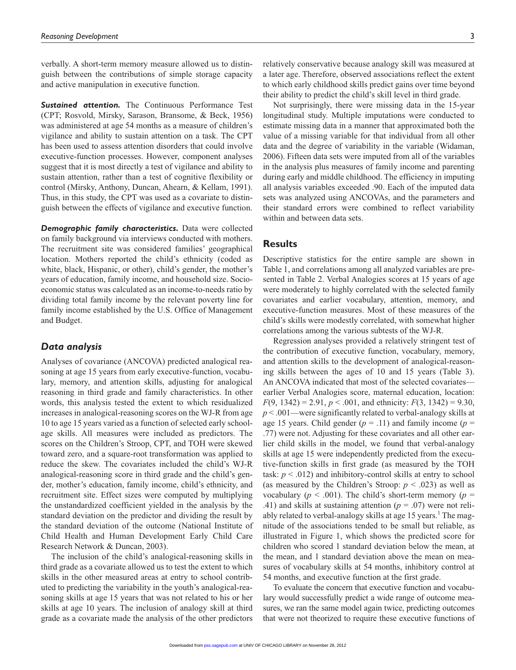verbally. A short-term memory measure allowed us to distinguish between the contributions of simple storage capacity and active manipulation in executive function.

**Sustained attention.** The Continuous Performance Test (CPT; Rosvold, Mirsky, Sarason, Bransome, & Beck, 1956) was administered at age 54 months as a measure of children's vigilance and ability to sustain attention on a task. The CPT has been used to assess attention disorders that could involve executive-function processes. However, component analyses suggest that it is most directly a test of vigilance and ability to sustain attention, rather than a test of cognitive flexibility or control (Mirsky, Anthony, Duncan, Ahearn, & Kellam, 1991). Thus, in this study, the CPT was used as a covariate to distinguish between the effects of vigilance and executive function.

*Demographic family characteristics.* Data were collected on family background via interviews conducted with mothers. The recruitment site was considered families' geographical location. Mothers reported the child's ethnicity (coded as white, black, Hispanic, or other), child's gender, the mother's years of education, family income, and household size. Socioeconomic status was calculated as an income-to-needs ratio by dividing total family income by the relevant poverty line for family income established by the U.S. Office of Management and Budget.

# *Data analysis*

Analyses of covariance (ANCOVA) predicted analogical reasoning at age 15 years from early executive-function, vocabulary, memory, and attention skills, adjusting for analogical reasoning in third grade and family characteristics. In other words, this analysis tested the extent to which residualized increases in analogical-reasoning scores on the WJ-R from age 10 to age 15 years varied as a function of selected early schoolage skills. All measures were included as predictors. The scores on the Children's Stroop, CPT, and TOH were skewed toward zero, and a square-root transformation was applied to reduce the skew. The covariates included the child's WJ-R analogical-reasoning score in third grade and the child's gender, mother's education, family income, child's ethnicity, and recruitment site. Effect sizes were computed by multiplying the unstandardized coefficient yielded in the analysis by the standard deviation on the predictor and dividing the result by the standard deviation of the outcome (National Institute of Child Health and Human Development Early Child Care Research Network & Duncan, 2003).

The inclusion of the child's analogical-reasoning skills in third grade as a covariate allowed us to test the extent to which skills in the other measured areas at entry to school contributed to predicting the variability in the youth's analogical-reasoning skills at age 15 years that was not related to his or her skills at age 10 years. The inclusion of analogy skill at third grade as a covariate made the analysis of the other predictors

relatively conservative because analogy skill was measured at a later age. Therefore, observed associations reflect the extent to which early childhood skills predict gains over time beyond their ability to predict the child's skill level in third grade.

Not surprisingly, there were missing data in the 15-year longitudinal study. Multiple imputations were conducted to estimate missing data in a manner that approximated both the value of a missing variable for that individual from all other data and the degree of variability in the variable (Widaman, 2006). Fifteen data sets were imputed from all of the variables in the analysis plus measures of family income and parenting during early and middle childhood. The efficiency in imputing all analysis variables exceeded .90. Each of the imputed data sets was analyzed using ANCOVAs, and the parameters and their standard errors were combined to reflect variability within and between data sets.

# **Results**

Descriptive statistics for the entire sample are shown in Table 1, and correlations among all analyzed variables are presented in Table 2. Verbal Analogies scores at 15 years of age were moderately to highly correlated with the selected family covariates and earlier vocabulary, attention, memory, and executive-function measures. Most of these measures of the child's skills were modestly correlated, with somewhat higher correlations among the various subtests of the WJ-R.

Regression analyses provided a relatively stringent test of the contribution of executive function, vocabulary, memory, and attention skills to the development of analogical-reasoning skills between the ages of 10 and 15 years (Table 3). An ANCOVA indicated that most of the selected covariates earlier Verbal Analogies score, maternal education, location:  $F(9, 1342) = 2.91, p < .001$ , and ethnicity:  $F(3, 1342) = 9.30$ , *p* < .001—were significantly related to verbal-analogy skills at age 15 years. Child gender  $(p = .11)$  and family income  $(p = .11)$ .77) were not. Adjusting for these covariates and all other earlier child skills in the model, we found that verbal-analogy skills at age 15 were independently predicted from the executive-function skills in first grade (as measured by the TOH task: *p* < .012) and inhibitory-control skills at entry to school (as measured by the Children's Stroop:  $p < .023$ ) as well as vocabulary ( $p < .001$ ). The child's short-term memory ( $p =$ .41) and skills at sustaining attention (*p* = .07) were not reliably related to verbal-analogy skills at age 15 years.<sup>1</sup> The magnitude of the associations tended to be small but reliable, as illustrated in Figure 1, which shows the predicted score for children who scored 1 standard deviation below the mean, at the mean, and 1 standard deviation above the mean on measures of vocabulary skills at 54 months, inhibitory control at 54 months, and executive function at the first grade.

To evaluate the concern that executive function and vocabulary would successfully predict a wide range of outcome measures, we ran the same model again twice, predicting outcomes that were not theorized to require these executive functions of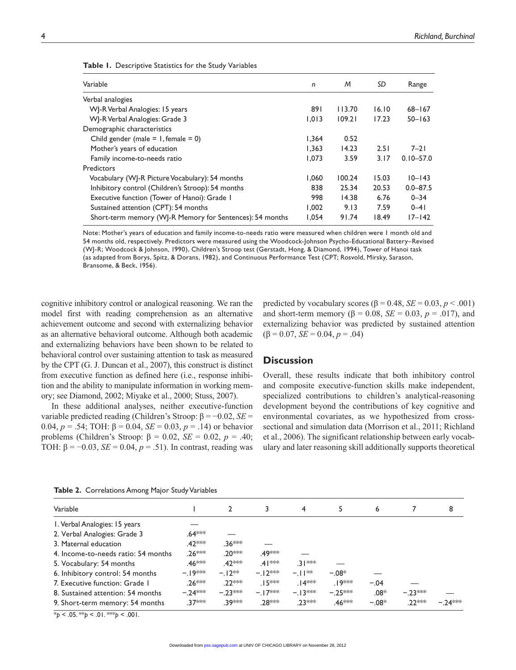| Variable                                                 | n     | M      | SD    | Range         |
|----------------------------------------------------------|-------|--------|-------|---------------|
| Verbal analogies                                         |       |        |       |               |
| WJ-R Verbal Analogies: 15 years                          | 891   | 113.70 | 16.10 | $68 - 167$    |
| WJ-R Verbal Analogies: Grade 3                           | 1,013 | 109.21 | 17.23 | $50 - 163$    |
| Demographic characteristics                              |       |        |       |               |
| Child gender (male = $1$ , female = 0)                   | 1,364 | 0.52   |       |               |
| Mother's years of education                              | 1.363 | 14.23  | 2.51  | $7 - 21$      |
| Family income-to-needs ratio                             | 1.073 | 3.59   | 3.17  | $0.10 - 57.0$ |
| Predictors                                               |       |        |       |               |
| Vocabulary (WJ-R Picture Vocabulary): 54 months          | 1,060 | 100.24 | 15.03 | $10 - 143$    |
| Inhibitory control (Children's Stroop): 54 months        | 838   | 25.34  | 20.53 | $0.0 - 87.5$  |
| Executive function (Tower of Hanoi): Grade 1             | 998   | 14.38  | 6.76  | $0 - 34$      |
| Sustained attention (CPT): 54 months                     | 1,002 | 9.13   | 7.59  | $0 - 41$      |
| Short-term memory (WJ-R Memory for Sentences): 54 months | 1.054 | 91.74  | 18.49 | $17 - 142$    |

**Table 1.** Descriptive Statistics for the Study Variables

Note: Mother's years of education and family income-to-needs ratio were measured when children were 1 month old and 54 months old, respectively. Predictors were measured using the Woodcock-Johnson Psycho-Educational Battery–Revised (WJ-R; Woodcock & Johnson, 1990), Children's Stroop test (Gerstadt, Hong, & Diamond, 1994), Tower of Hanoi task (as adapted from Borys, Spitz, & Dorans, 1982), and Continuous Performance Test (CPT; Rosvold, Mirsky, Sarason, Bransome, & Beck, 1956).

cognitive inhibitory control or analogical reasoning. We ran the model first with reading comprehension as an alternative achievement outcome and second with externalizing behavior as an alternative behavioral outcome. Although both academic and externalizing behaviors have been shown to be related to behavioral control over sustaining attention to task as measured by the CPT (G. J. Duncan et al., 2007), this construct is distinct from executive function as defined here (i.e., response inhibition and the ability to manipulate information in working memory; see Diamond, 2002; Miyake et al., 2000; Stuss, 2007).

In these additional analyses, neither executive-function variable predicted reading (Children's Stroop: β = −0.02, *SE* = 0.04, *p* = .54; TOH: β = 0.04, *SE* = 0.03, *p* = .14) or behavior problems (Children's Stroop: β = 0.02, *SE* = 0.02, *p* = .40; TOH:  $β = -0.03$ ,  $SE = 0.04$ ,  $p = .51$ ). In contrast, reading was

predicted by vocabulary scores  $(\beta = 0.48, SE = 0.03, p < .001)$ and short-term memory ( $\beta = 0.08$ ,  $SE = 0.03$ ,  $p = .017$ ), and externalizing behavior was predicted by sustained attention  $(\beta = 0.07, SE = 0.04, p = .04)$ 

# **Discussion**

Overall, these results indicate that both inhibitory control and composite executive-function skills make independent, specialized contributions to children's analytical-reasoning development beyond the contributions of key cognitive and environmental covariates, as we hypothesized from crosssectional and simulation data (Morrison et al., 2011; Richland et al., 2006). The significant relationship between early vocabulary and later reasoning skill additionally supports theoretical

|  | Table 2. Correlations Among Major Study Variables |  |  |  |
|--|---------------------------------------------------|--|--|--|
|--|---------------------------------------------------|--|--|--|

| Variable                            |                    |                     | 3                   | 4                    | 5                  | 6       |           | 8        |
|-------------------------------------|--------------------|---------------------|---------------------|----------------------|--------------------|---------|-----------|----------|
| I. Verbal Analogies: 15 years       |                    |                     |                     |                      |                    |         |           |          |
| 2. Verbal Analogies: Grade 3        | .64 <sup>***</sup> |                     |                     |                      |                    |         |           |          |
| 3. Maternal education               | .42 <sup>***</sup> | .36***              |                     |                      |                    |         |           |          |
| 4. Income-to-needs ratio: 54 months | 26***              | .20 <sup>***</sup>  | .49 ***             |                      |                    |         |           |          |
| 5. Vocabulary: 54 months            | .46 <sup>***</sup> | .42 <sup>*</sup> ** | $41***$             | ∃ ∤≫ं                |                    |         |           |          |
| 6. Inhibitory control: 54 months    | – 19***            | $-12**$             | $-12***$            | $-11**$              | $-0.08*$           |         |           |          |
| 7. Executive function: Grade 1      | $.26***$           | $22***$             | $.15***$            | .   4 <sup>*</sup> * | .   9***           | $-.04$  |           |          |
| 8. Sustained attention: 54 months   | $-24***$           | $-23***$            | $-17$ <sup>**</sup> | $-13***$             | $-25***$           | $.08*$  | $-.23***$ |          |
| 9. Short-term memory: 54 months     | $37***$            | .39 ***             | 28***               | 23***                | .46 <sup>***</sup> | $-.08*$ | .22 ***   | $-74***$ |

 $*_{p}$  < .05. \*\**p* < .01. \*\*\**p* < .001.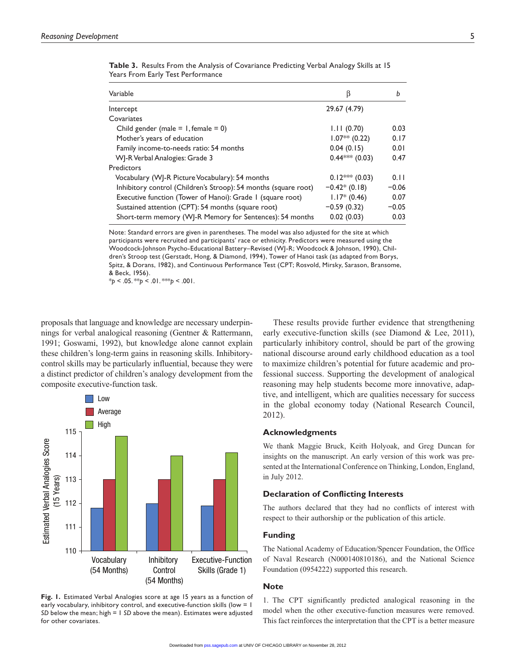| Variable                                                        | B               | b       |
|-----------------------------------------------------------------|-----------------|---------|
| Intercept                                                       | 29.67 (4.79)    |         |
| Covariates                                                      |                 |         |
| Child gender (male = $1$ , female = 0)                          | 1.11(0.70)      | 0.03    |
| Mother's years of education                                     | $1.07** (0.22)$ | 0.17    |
| Family income-to-needs ratio: 54 months                         | 0.04(0.15)      | 0.01    |
| WJ-R Verbal Analogies: Grade 3                                  | $0.44***(0.03)$ | 0.47    |
| Predictors                                                      |                 |         |
| Vocabulary (WJ-R Picture Vocabulary): 54 months                 | $0.12***(0.03)$ | 0.11    |
| Inhibitory control (Children's Stroop): 54 months (square root) | $-0.42*(0.18)$  | $-0.06$ |
| Executive function (Tower of Hanoi): Grade 1 (square root)      | $1.17*(0.46)$   | 0.07    |
| Sustained attention (CPT): 54 months (square root)              | $-0.59(0.32)$   | $-0.05$ |
| Short-term memory (WJ-R Memory for Sentences): 54 months        | 0.02(0.03)      | 0.03    |

**Table 3.** Results From the Analysis of Covariance Predicting Verbal Analogy Skills at 15 Years From Early Test Performance

Note: Standard errors are given in parentheses. The model was also adjusted for the site at which participants were recruited and participants' race or ethnicity. Predictors were measured using the Woodcock-Johnson Psycho-Educational Battery–Revised (WJ-R; Woodcock & Johnson, 1990), Children's Stroop test (Gerstadt, Hong, & Diamond, 1994), Tower of Hanoi task (as adapted from Borys, Spitz, & Dorans, 1982), and Continuous Performance Test (CPT; Rosvold, Mirsky, Sarason, Bransome, & Beck, 1956).

 $*_{p}$  < .05.  $*_{p}$  < .01.  $*_{p}$  < .001.

proposals that language and knowledge are necessary underpinnings for verbal analogical reasoning (Gentner & Rattermann, 1991; Goswami, 1992), but knowledge alone cannot explain these children's long-term gains in reasoning skills. Inhibitorycontrol skills may be particularly influential, because they were a distinct predictor of children's analogy development from the composite executive-function task.



**Fig. 1.** Estimated Verbal Analogies score at age 15 years as a function of early vocabulary, inhibitory control, and executive-function skills (low = 1 *SD* below the mean; high = 1 *SD* above the mean). Estimates were adjusted for other covariates.

These results provide further evidence that strengthening early executive-function skills (see Diamond & Lee, 2011), particularly inhibitory control, should be part of the growing national discourse around early childhood education as a tool to maximize children's potential for future academic and professional success. Supporting the development of analogical reasoning may help students become more innovative, adaptive, and intelligent, which are qualities necessary for success in the global economy today (National Research Council, 2012).

#### **Acknowledgments**

We thank Maggie Bruck, Keith Holyoak, and Greg Duncan for insights on the manuscript. An early version of this work was presented at the International Conference on Thinking, London, England, in July 2012.

# **Declaration of Conflicting Interests**

The authors declared that they had no conflicts of interest with respect to their authorship or the publication of this article.

## **Funding**

The National Academy of Education/Spencer Foundation, the Office of Naval Research (N000140810186), and the National Science Foundation (0954222) supported this research.

## **Note**

1. The CPT significantly predicted analogical reasoning in the model when the other executive-function measures were removed. This fact reinforces the interpretation that the CPT is a better measure